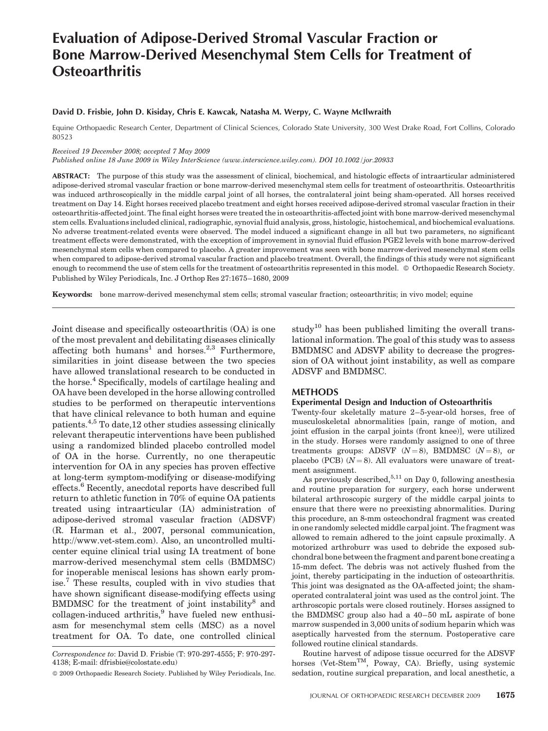# Evaluation of Adipose-Derived Stromal Vascular Fraction or Bone Marrow-Derived Mesenchymal Stem Cells for Treatment of **Osteoarthritis**

# David D. Frisbie, John D. Kisiday, Chris E. Kawcak, Natasha M. Werpy, C. Wayne McIlwraith

Equine Orthopaedic Research Center, Department of Clinical Sciences, Colorado State University, 300 West Drake Road, Fort Collins, Colorado 80523

#### Received 19 December 2008; accepted 7 May 2009

Published online 18 June 2009 in Wiley InterScience (www.interscience.wiley.com). DOI 10.1002/jor.20933

ABSTRACT: The purpose of this study was the assessment of clinical, biochemical, and histologic effects of intraarticular administered adipose-derived stromal vascular fraction or bone marrow-derived mesenchymal stem cells for treatment of osteoarthritis. Osteoarthritis was induced arthroscopically in the middle carpal joint of all horses, the contralateral joint being sham-operated. All horses received treatment on Day 14. Eight horses received placebo treatment and eight horses received adipose-derived stromal vascular fraction in their osteoarthritis-affected joint. The final eight horses were treated the in osteoarthritis-affected joint with bone marrow-derived mesenchymal stem cells. Evaluations included clinical, radiographic, synovial fluid analysis, gross, histologic, histochemical, and biochemical evaluations. No adverse treatment-related events were observed. The model induced a significant change in all but two parameters, no significant treatment effects were demonstrated, with the exception of improvement in synovial fluid effusion PGE2 levels with bone marrow-derived mesenchymal stem cells when compared to placebo. A greater improvement was seen with bone marrow-derived mesenchymal stem cells when compared to adipose-derived stromal vascular fraction and placebo treatment. Overall, the findings of this study were not significant enough to recommend the use of stem cells for the treatment of osteoarthritis represented in this model. © Orthopaedic Research Society. Published by Wiley Periodicals, Inc. J Orthop Res 27:1675–1680, 2009

Keywords: bone marrow-derived mesenchymal stem cells; stromal vascular fraction; osteoarthritis; in vivo model; equine

Joint disease and specifically osteoarthritis (OA) is one of the most prevalent and debilitating diseases clinically affecting both humans<sup>1</sup> and horses.<sup>2,3</sup> Furthermore, similarities in joint disease between the two species have allowed translational research to be conducted in the horse.<sup>4</sup> Specifically, models of cartilage healing and OA have been developed in the horse allowing controlled studies to be performed on therapeutic interventions that have clinical relevance to both human and equine patients.4,5 To date,12 other studies assessing clinically relevant therapeutic interventions have been published using a randomized blinded placebo controlled model of OA in the horse. Currently, no one therapeutic intervention for OA in any species has proven effective at long-term symptom-modifying or disease-modifying effects.<sup>6</sup> Recently, anecdotal reports have described full return to athletic function in 70% of equine OA patients treated using intraarticular (IA) administration of adipose-derived stromal vascular fraction (ADSVF) (R. Harman et al., 2007, personal communication, http://www.vet-stem.com). Also, an uncontrolled multicenter equine clinical trial using IA treatment of bone marrow-derived mesenchymal stem cells (BMDMSC) for inoperable meniscal lesions has shown early promise.<sup>7</sup> These results, coupled with in vivo studies that have shown significant disease-modifying effects using BMDMSC for the treatment of joint instability<sup>8</sup> and  $collagen-induced$  arthritis, $9$  have fueled new enthusiasm for mesenchymal stem cells (MSC) as a novel treatment for OA. To date, one controlled clinical

study<sup>10</sup> has been published limiting the overall translational information. The goal of this study was to assess BMDMSC and ADSVF ability to decrease the progression of OA without joint instability, as well as compare ADSVF and BMDMSC.

#### METHODS

#### Experimental Design and Induction of Osteoarthritis

Twenty-four skeletally mature 2–5-year-old horses, free of musculoskeletal abnormalities [pain, range of motion, and joint effusion in the carpal joints (front knee)], were utilized in the study. Horses were randomly assigned to one of three treatments groups: ADSVF  $(N=8)$ , BMDMSC  $(N=8)$ , or placebo (PCB)  $(N = 8)$ . All evaluators were unaware of treatment assignment.

As previously described,  $5,11$  on Day 0, following anesthesia and routine preparation for surgery, each horse underwent bilateral arthroscopic surgery of the middle carpal joints to ensure that there were no preexisting abnormalities. During this procedure, an 8-mm osteochondral fragment was created in one randomly selected middle carpal joint. The fragment was allowed to remain adhered to the joint capsule proximally. A motorized arthroburr was used to debride the exposed subchondral bone between the fragment and parent bone creating a 15-mm defect. The debris was not actively flushed from the joint, thereby participating in the induction of osteoarthritis. This joint was designated as the OA-affected joint; the shamoperated contralateral joint was used as the control joint. The arthroscopic portals were closed routinely. Horses assigned to the BMDMSC group also had a 40–50 mL aspirate of bone marrow suspended in 3,000 units of sodium heparin which was aseptically harvested from the sternum. Postoperative care followed routine clinical standards.

Routine harvest of adipose tissue occurred for the ADSVF horses (Vet-Stem<sup>TM</sup>, Poway, CA). Briefly, using systemic sedation, routine surgical preparation, and local anesthetic, a

Correspondence to: David D. Frisbie (T: 970-297-4555; F: 970-297- 4138; E-mail: dfrisbie@colostate.edu)

2009 Orthopaedic Research Society. Published by Wiley Periodicals, Inc.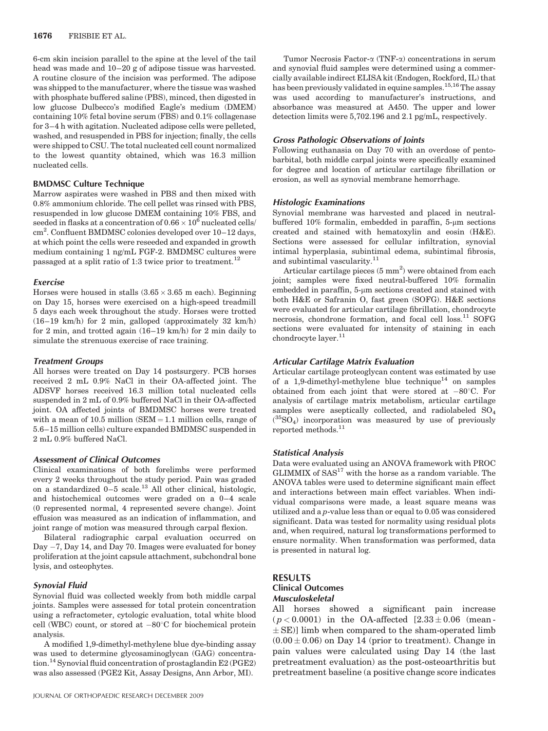6-cm skin incision parallel to the spine at the level of the tail head was made and  $10-20$  g of adipose tissue was harvested. A routine closure of the incision was performed. The adipose was shipped to the manufacturer, where the tissue was washed with phosphate buffered saline (PBS), minced, then digested in low glucose Dulbecco's modified Eagle's medium (DMEM) containing 10% fetal bovine serum (FBS) and 0.1% collagenase for 3–4 h with agitation. Nucleated adipose cells were pelleted, washed, and resuspended in PBS for injection; finally, the cells were shipped to CSU. The total nucleated cell count normalized to the lowest quantity obtained, which was 16.3 million nucleated cells.

# BMDMSC Culture Technique

Marrow aspirates were washed in PBS and then mixed with 0.8% ammonium chloride. The cell pellet was rinsed with PBS, resuspended in low glucose DMEM containing 10% FBS, and seeded in flasks at a concentration of 0.66  $\times$   $10^6$  nucleated cells/ cm<sup>2</sup>. Confluent BMDMSC colonies developed over 10-12 days, at which point the cells were reseeded and expanded in growth medium containing 1 ng/mL FGF-2. BMDMSC cultures were passaged at a split ratio of 1:3 twice prior to treatment.<sup>12</sup>

#### **Exercise**

Horses were housed in stalls  $(3.65 \times 3.65 \text{ m}$  each). Beginning on Day 15, horses were exercised on a high-speed treadmill 5 days each week throughout the study. Horses were trotted (16–19 km/h) for 2 min, galloped (approximately 32 km/h) for 2 min, and trotted again (16–19 km/h) for 2 min daily to simulate the strenuous exercise of race training.

# Treatment Groups

All horses were treated on Day 14 postsurgery. PCB horses received 2 mL 0.9% NaCl in their OA-affected joint. The ADSVF horses received 16.3 million total nucleated cells suspended in 2 mL of 0.9% buffered NaCl in their OA-affected joint. OA affected joints of BMDMSC horses were treated with a mean of 10.5 million ( $SEM = 1.1$  million cells, range of 5.6–15 million cells) culture expanded BMDMSC suspended in 2 mL 0.9% buffered NaCl.

# Assessment of Clinical Outcomes

Clinical examinations of both forelimbs were performed every 2 weeks throughout the study period. Pain was graded on a standardized  $0-5$  scale.<sup>13</sup> All other clinical, histologic, and histochemical outcomes were graded on a 0–4 scale (0 represented normal, 4 represented severe change). Joint effusion was measured as an indication of inflammation, and joint range of motion was measured through carpal flexion.

Bilateral radiographic carpal evaluation occurred on Day  $-7$ , Day 14, and Day 70. Images were evaluated for boney proliferation at the joint capsule attachment, subchondral bone lysis, and osteophytes.

# Synovial Fluid

Synovial fluid was collected weekly from both middle carpal joints. Samples were assessed for total protein concentration using a refractometer, cytologic evaluation, total white blood cell (WBC) count, or stored at  $-80^{\circ}$ C for biochemical protein analysis.

A modified 1,9-dimethyl-methylene blue dye-binding assay was used to determine glycosaminoglycan (GAG) concentration.<sup>14</sup> Synovial fluid concentration of prostaglandin  $E2$  (PGE2) was also assessed (PGE2 Kit, Assay Designs, Ann Arbor, MI).

Tumor Necrosis Factor- $\alpha$  (TNF- $\alpha$ ) concentrations in serum and synovial fluid samples were determined using a commercially available indirect ELISA kit (Endogen, Rockford, IL) that has been previously validated in equine samples.<sup>15,16</sup>The assay was used according to manufacturer's instructions, and absorbance was measured at A450. The upper and lower detection limits were 5,702.196 and 2.1 pg/mL, respectively.

#### Gross Pathologic Observations of Joints

Following euthanasia on Day 70 with an overdose of pentobarbital, both middle carpal joints were specifically examined for degree and location of articular cartilage fibrillation or erosion, as well as synovial membrane hemorrhage.

## Histologic Examinations

Synovial membrane was harvested and placed in neutralbuffered  $10\%$  formalin, embedded in paraffin, 5- $\mu$ m sections created and stained with hematoxylin and eosin (H&E). Sections were assessed for cellular infiltration, synovial intimal hyperplasia, subintimal edema, subintimal fibrosis, and subintimal vascularity. $11$ 

Articular cartilage pieces  $(5 \text{ mm}^2)$  were obtained from each joint; samples were fixed neutral-buffered 10% formalin embedded in paraffin,  $5\text{-}\mu\text{m}$  sections created and stained with both H&E or Safranin O, fast green (SOFG). H&E sections were evaluated for articular cartilage fibrillation, chondrocyte necrosis, chondrone formation, and focal cell loss.<sup>11</sup> SOFG sections were evaluated for intensity of staining in each chondrocyte layer. $11$ 

#### Articular Cartilage Matrix Evaluation

Articular cartilage proteoglycan content was estimated by use of a 1,9-dimethyl-methylene blue technique<sup>14</sup> on samples obtained from each joint that were stored at  $-80^{\circ}$ C. For analysis of cartilage matrix metabolism, articular cartilage samples were aseptically collected, and radiolabeled  $SO_4$  $({}^{35}SO_4)$  incorporation was measured by use of previously reported methods.<sup>11</sup>

### Statistical Analysis

Data were evaluated using an ANOVA framework with PROC GLIMMIX of SAS<sup>17</sup> with the horse as a random variable. The ANOVA tables were used to determine significant main effect and interactions between main effect variables. When individual comparisons were made, a least square means was utilized and a p-value less than or equal to 0.05 was considered significant. Data was tested for normality using residual plots and, when required, natural log transformations performed to ensure normality. When transformation was performed, data is presented in natural log.

# RESULTS Clinical Outcomes Musculoskeletal

All horses showed a significant pain increase  $(p < 0.0001)$  in the OA-affected  $[2.33 \pm 0.06$  (mean- $\pm$  SE)] limb when compared to the sham-operated limb  $(0.00 \pm 0.06)$  on Day 14 (prior to treatment). Change in pain values were calculated using Day 14 (the last pretreatment evaluation) as the post-osteoarthritis but pretreatment baseline (a positive change score indicates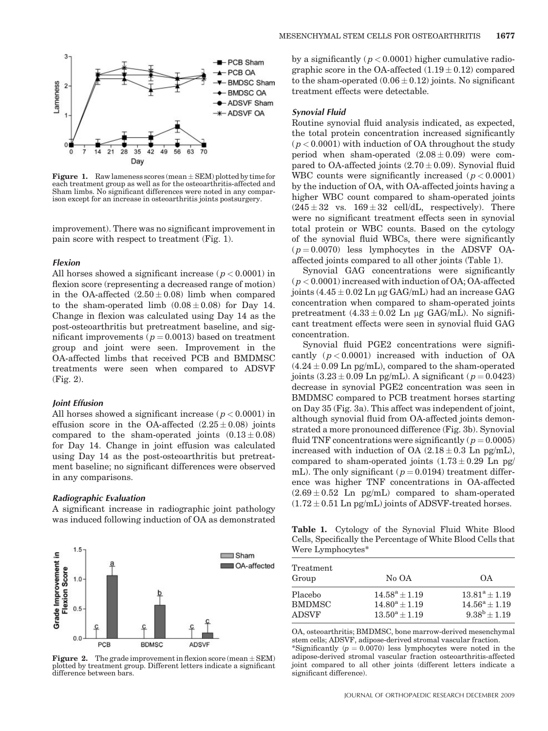

**Figure 1.** Raw lameness scores (mean  $\pm$  SEM) plotted by time for each treatment group as well as for the osteoarthritis-affected and Sham limbs. No significant differences were noted in any comparison except for an increase in osteoarthritis joints postsurgery.

improvement). There was no significant improvement in pain score with respect to treatment (Fig. 1).

#### Flexion

All horses showed a significant increase ( $p < 0.0001$ ) in flexion score (representing a decreased range of motion) in the OA-affected  $(2.50 \pm 0.08)$  limb when compared to the sham-operated limb  $(0.08 \pm 0.08)$  for Day 14. Change in flexion was calculated using Day 14 as the post-osteoarthritis but pretreatment baseline, and significant improvements ( $p = 0.0013$ ) based on treatment group and joint were seen. Improvement in the OA-affected limbs that received PCB and BMDMSC treatments were seen when compared to ADSVF (Fig. 2).

#### Joint Effusion

All horses showed a significant increase ( $p < 0.0001$ ) in effusion score in the OA-affected  $(2.25 \pm 0.08)$  joints compared to the sham-operated joints  $(0.13 \pm 0.08)$ for Day 14. Change in joint effusion was calculated using Day 14 as the post-osteoarthritis but pretreatment baseline; no significant differences were observed in any comparisons.

#### Radiographic Evaluation

A significant increase in radiographic joint pathology was induced following induction of OA as demonstrated



by a significantly  $(p < 0.0001)$  higher cumulative radiographic score in the OA-affected  $(1.19 \pm 0.12)$  compared to the sham-operated  $(0.06 \pm 0.12)$  joints. No significant treatment effects were detectable.

# Synovial Fluid

Routine synovial fluid analysis indicated, as expected, the total protein concentration increased significantly  $(p < 0.0001)$  with induction of OA throughout the study period when sham-operated  $(2.08 \pm 0.09)$  were compared to OA-affected joints  $(2.70 \pm 0.09)$ . Synovial fluid WBC counts were significantly increased  $(p < 0.0001)$ by the induction of OA, with OA-affected joints having a higher WBC count compared to sham-operated joints  $(245 \pm 32 \text{ vs. } 169 \pm 32 \text{ cell/dL}, \text{ respectively}).$  There were no significant treatment effects seen in synovial total protein or WBC counts. Based on the cytology of the synovial fluid WBCs, there were significantly  $(p = 0.0070)$  less lymphocytes in the ADSVF OAaffected joints compared to all other joints (Table 1).

Synovial GAG concentrations were significantly  $(p < 0.0001)$  increased with induction of OA; OA-affected joints  $(4.45 \pm 0.02 \text{ Ln } \mu \text{g } \text{GAG/mL})$  had an increase GAG concentration when compared to sham-operated joints pretreatment  $(4.33 \pm 0.02 \text{ Ln } \mu \text{g GAG/mL})$ . No significant treatment effects were seen in synovial fluid GAG concentration.

Synovial fluid PGE2 concentrations were significantly  $(p < 0.0001)$  increased with induction of OA  $(4.24 \pm 0.09 \text{ Ln pg/mL})$ , compared to the sham-operated joints  $(3.23 \pm 0.09 \text{ Ln pg/mL})$ . A significant  $(p = 0.0423)$ decrease in synovial PGE2 concentration was seen in BMDMSC compared to PCB treatment horses starting on Day 35 (Fig. 3a). This affect was independent of joint, although synovial fluid from OA-affected joints demonstrated a more pronounced difference (Fig. 3b). Synovial fluid TNF concentrations were significantly ( $p = 0.0005$ ) increased with induction of OA  $(2.18 \pm 0.3 \text{ Ln pg/mL})$ , compared to sham-operated joints  $(1.73 \pm 0.29 \text{ Ln pg/})$ mL). The only significant ( $p = 0.0194$ ) treatment difference was higher TNF concentrations in OA-affected  $(2.69 \pm 0.52)$  Ln pg/mL) compared to sham-operated  $(1.72 \pm 0.51$  Ln pg/mL) joints of ADSVF-treated horses.

Table 1. Cytology of the Synovial Fluid White Blood Cells, Specifically the Percentage of White Blood Cells that Were Lymphocytes\*

| Treatment<br>Group | No OA            | ΩA.                   |
|--------------------|------------------|-----------------------|
| Placebo            | $14.58^a + 1.19$ | $13.81^a + 1.19$      |
| <b>BMDMSC</b>      | $14.80^a + 1.19$ | $14.56^a + 1.19$      |
| <b>ADSVF</b>       | $13.50^a + 1.19$ | $9.38^{\rm b} + 1.19$ |

OA, osteoarthritis; BMDMSC, bone marrow-derived mesenchymal stem cells; ADSVF, adipose-derived stromal vascular fraction. \*Significantly ( $p = 0.0070$ ) less lymphocytes were noted in the adipose-derived stromal vascular fraction osteoarthritis-affected joint compared to all other joints (different letters indicate a significant difference).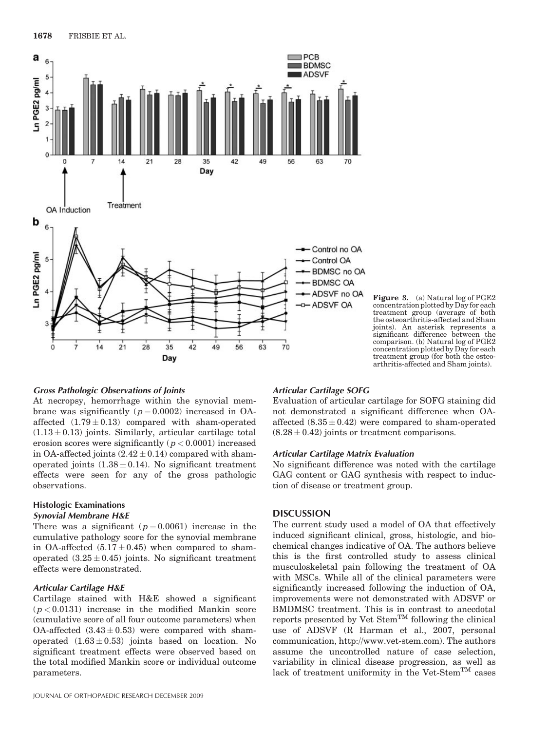

Figure 3. (a) Natural log of PGE2 concentration plotted by Day for each treatment group (average of both the osteoarthritis-affected and Sham joints). An asterisk represents a significant difference between the comparison. (b) Natural log of PGE2 concentration plotted by Day for each treatment group (for both the osteo-arthritis-affected and Sham joints).

# Gross Pathologic Observations of Joints

At necropsy, hemorrhage within the synovial membrane was significantly  $(p = 0.0002)$  increased in OAaffected  $(1.79 \pm 0.13)$  compared with sham-operated  $(1.13 \pm 0.13)$  joints. Similarly, articular cartilage total erosion scores were significantly  $(p < 0.0001)$  increased in OA-affected joints  $(2.42 \pm 0.14)$  compared with shamoperated joints  $(1.38 \pm 0.14)$ . No significant treatment effects were seen for any of the gross pathologic observations.

# Histologic Examinations

# Synovial Membrane H&E

There was a significant  $(p=0.0061)$  increase in the cumulative pathology score for the synovial membrane in OA-affected  $(5.17 \pm 0.45)$  when compared to shamoperated  $(3.25 \pm 0.45)$  joints. No significant treatment effects were demonstrated.

# Articular Cartilage H&E

Cartilage stained with H&E showed a significant  $(p < 0.0131)$  increase in the modified Mankin score (cumulative score of all four outcome parameters) when OA-affected  $(3.43 \pm 0.53)$  were compared with shamoperated  $(1.63 \pm 0.53)$  joints based on location. No significant treatment effects were observed based on the total modified Mankin score or individual outcome parameters.

#### Articular Cartilage SOFG

Evaluation of articular cartilage for SOFG staining did not demonstrated a significant difference when OAaffected  $(8.35 \pm 0.42)$  were compared to sham-operated  $(8.28 \pm 0.42)$  joints or treatment comparisons.

# Articular Cartilage Matrix Evaluation

No significant difference was noted with the cartilage GAG content or GAG synthesis with respect to induction of disease or treatment group.

# DISCUSSION

The current study used a model of OA that effectively induced significant clinical, gross, histologic, and biochemical changes indicative of OA. The authors believe this is the first controlled study to assess clinical musculoskeletal pain following the treatment of OA with MSCs. While all of the clinical parameters were significantly increased following the induction of OA, improvements were not demonstrated with ADSVF or BMDMSC treatment. This is in contrast to anecdotal reports presented by Vet Stem<sup>TM</sup> following the clinical use of ADSVF (R Harman et al., 2007, personal communication, http://www.vet-stem.com). The authors assume the uncontrolled nature of case selection, variability in clinical disease progression, as well as lack of treatment uniformity in the Vet-Stem<sup>TM</sup> cases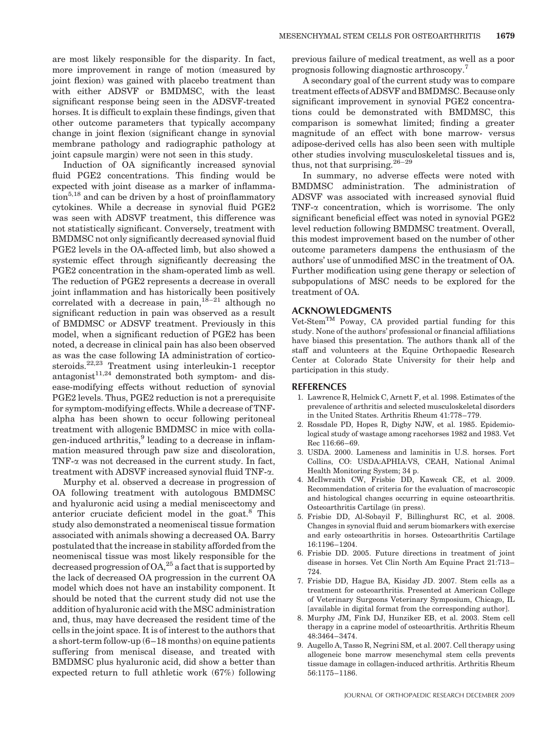are most likely responsible for the disparity. In fact, more improvement in range of motion (measured by joint flexion) was gained with placebo treatment than with either ADSVF or BMDMSC, with the least significant response being seen in the ADSVF-treated horses. It is difficult to explain these findings, given that other outcome parameters that typically accompany change in joint flexion (significant change in synovial membrane pathology and radiographic pathology at joint capsule margin) were not seen in this study.

Induction of OA significantly increased synovial fluid PGE2 concentrations. This finding would be expected with joint disease as a marker of inflammation<sup>5,18</sup> and can be driven by a host of proinflammatory cytokines. While a decrease in synovial fluid PGE2 was seen with ADSVF treatment, this difference was not statistically significant. Conversely, treatment with BMDMSC not only significantly decreased synovial fluid PGE2 levels in the OA-affected limb, but also showed a systemic effect through significantly decreasing the PGE2 concentration in the sham-operated limb as well. The reduction of PGE2 represents a decrease in overall joint inflammation and has historically been positively correlated with a decrease in pain,  $18-21$  although no significant reduction in pain was observed as a result of BMDMSC or ADSVF treatment. Previously in this model, when a significant reduction of PGE2 has been noted, a decrease in clinical pain has also been observed as was the case following IA administration of corticosteroids.22,23 Treatment using interleukin-1 receptor antagonist $11,24$  demonstrated both symptom- and disease-modifying effects without reduction of synovial PGE2 levels. Thus, PGE2 reduction is not a prerequisite for symptom-modifying effects. While a decrease of TNFalpha has been shown to occur following peritoneal treatment with allogenic BMDMSC in mice with collagen-induced arthritis, $9$  leading to a decrease in inflammation measured through paw size and discoloration, TNF- $\alpha$  was not decreased in the current study. In fact, treatment with ADSVF increased synovial fluid TNF-a.

Murphy et al. observed a decrease in progression of OA following treatment with autologous BMDMSC and hyaluronic acid using a medial meniscectomy and anterior cruciate deficient model in the goat.<sup>8</sup> This study also demonstrated a neomeniscal tissue formation associated with animals showing a decreased OA. Barry postulated that the increase in stability afforded from the neomeniscal tissue was most likely responsible for the decreased progression of  $OA<sub>1</sub><sup>25</sup>$  a fact that is supported by the lack of decreased OA progression in the current OA model which does not have an instability component. It should be noted that the current study did not use the addition of hyaluronic acid with the MSC administration and, thus, may have decreased the resident time of the cells in the joint space. It is of interest to the authors that a short-term follow-up (6–18 months) on equine patients suffering from meniscal disease, and treated with BMDMSC plus hyaluronic acid, did show a better than expected return to full athletic work (67%) following previous failure of medical treatment, as well as a poor prognosis following diagnostic arthroscopy.<sup>7</sup>

A secondary goal of the current study was to compare treatment effects of ADSVF and BMDMSC. Because only significant improvement in synovial PGE2 concentrations could be demonstrated with BMDMSC, this comparison is somewhat limited; finding a greater magnitude of an effect with bone marrow- versus adipose-derived cells has also been seen with multiple other studies involving musculoskeletal tissues and is, thus, not that surprising.  $26-29$ 

In summary, no adverse effects were noted with BMDMSC administration. The administration of ADSVF was associated with increased synovial fluid TNF- $\alpha$  concentration, which is worrisome. The only significant beneficial effect was noted in synovial PGE2 level reduction following BMDMSC treatment. Overall, this modest improvement based on the number of other outcome parameters dampens the enthusiasm of the authors' use of unmodified MSC in the treatment of OA. Further modification using gene therapy or selection of subpopulations of MSC needs to be explored for the treatment of OA.

## ACKNOWLEDGMENTS

 $Vet-Stem<sup>TM</sup> Poway$ , CA provided partial funding for this study. None of the authors' professional or financial affiliations have biased this presentation. The authors thank all of the staff and volunteers at the Equine Orthopaedic Research Center at Colorado State University for their help and participation in this study.

### REFERENCES

- 1. Lawrence R, Helmick C, Arnett F, et al. 1998. Estimates of the prevalence of arthritis and selected musculoskeletal disorders in the United States. Arthritis Rheum 41:778–779.
- 2. Rossdale PD, Hopes R, Digby NJW, et al. 1985. Epidemiological study of wastage among racehorses 1982 and 1983. Vet Rec 116:66–69.
- 3. USDA. 2000. Lameness and laminitis in U.S. horses. Fort Collins, CO: USDA:APHIA:VS, CEAH, National Animal Health Monitoring System; 34 p.
- 4. McIlwraith CW, Frisbie DD, Kawcak CE, et al. 2009. Recommendation of criteria for the evaluation of macroscopic and histological changes occurring in equine osteoarthritis. Osteoarthritis Cartilage (in press).
- 5. Frisbie DD, Al-Sobayil F, Billinghurst RC, et al. 2008. Changes in synovial fluid and serum biomarkers with exercise and early osteoarthritis in horses. Osteoarthritis Cartilage 16:1196–1204.
- 6. Frisbie DD. 2005. Future directions in treatment of joint disease in horses. Vet Clin North Am Equine Pract 21:713– 724.
- 7. Frisbie DD, Hague BA, Kisiday JD. 2007. Stem cells as a treatment for osteoarthritis. Presented at American College of Veterinary Surgeons Veterinary Symposium, Chicago, IL [available in digital format from the corresponding author].
- 8. Murphy JM, Fink DJ, Hunziker EB, et al. 2003. Stem cell therapy in a caprine model of osteoarthritis. Arthritis Rheum 48:3464–3474.
- 9. Augello A, Tasso R, Negrini SM, et al. 2007. Cell therapy using allogeneic bone marrow mesenchymal stem cells prevents tissue damage in collagen-induced arthritis. Arthritis Rheum 56:1175–1186.